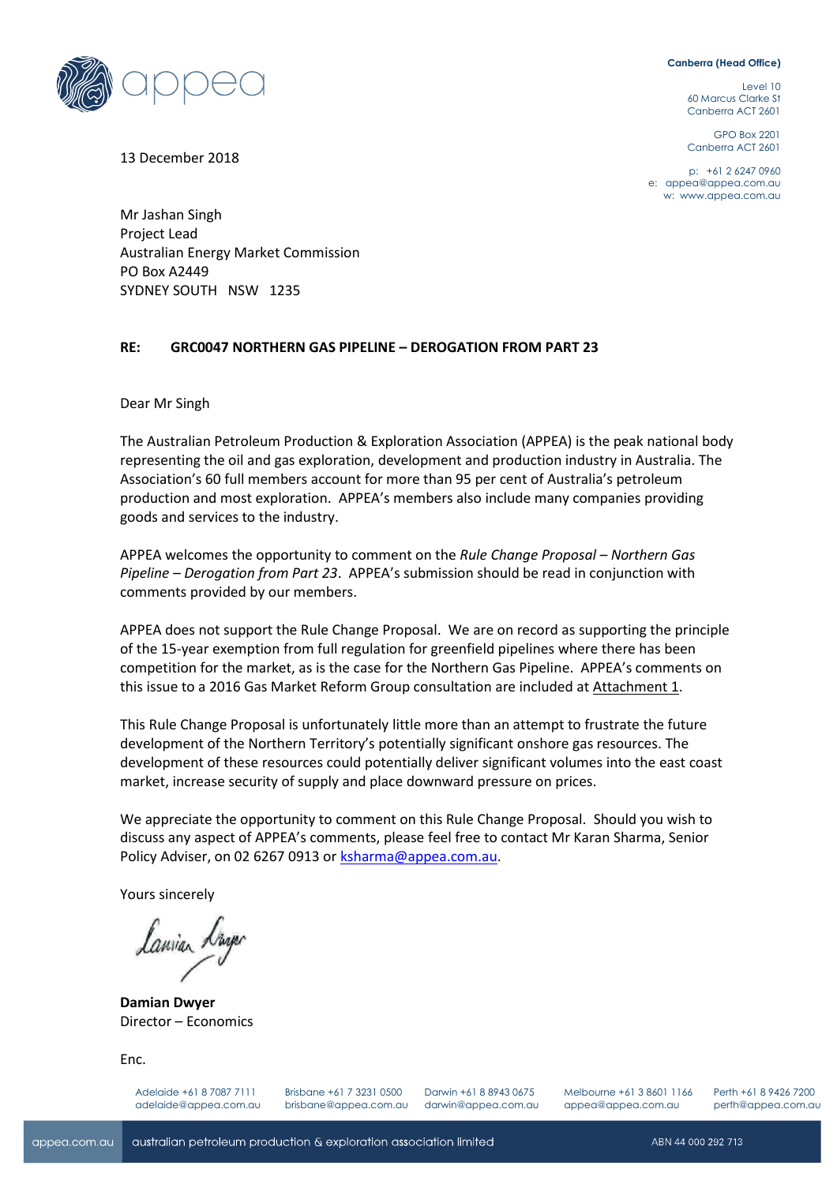## **Canberra (Head Office)**

Level 10 60 Marcus Clarke St Canberra ACT 2601

GPO Box 2201 Canberra ACT 2601

p: +61 2 6247 0960 e: [appea@appea.com.au](mailto:appea@appea.com.au) w: [www.appea.com.au](http://www.appea.com.au/)

13 December 2018

Mr Jashan Singh Project Lead Australian Energy Market Commission PO Box A2449 SYDNEY SOUTH NSW 1235

## **RE: GRC0047 NORTHERN GAS PIPELINE – DEROGATION FROM PART 23**

Dear Mr Singh

The Australian Petroleum Production & Exploration Association (APPEA) is the peak national body representing the oil and gas exploration, development and production industry in Australia. The Association's 60 full members account for more than 95 per cent of Australia's petroleum production and most exploration. APPEA's members also include many companies providing goods and services to the industry.

APPEA welcomes the opportunity to comment on the *Rule Change Proposal – Northern Gas Pipeline – Derogation from Part 23*. APPEA's submission should be read in conjunction with comments provided by our members.

APPEA does not support the Rule Change Proposal. We are on record as supporting the principle of the 15-year exemption from full regulation for greenfield pipelines where there has been competition for the market, as is the case for the Northern Gas Pipeline. APPEA's comments on this issue to a 2016 Gas Market Reform Group consultation are included at Attachment 1.

This Rule Change Proposal is unfortunately little more than an attempt to frustrate the future development of the Northern Territory's potentially significant onshore gas resources. The development of these resources could potentially deliver significant volumes into the east coast market, increase security of supply and place downward pressure on prices.

We appreciate the opportunity to comment on this Rule Change Proposal. Should you wish to discuss any aspect of APPEA's comments, please feel free to contact Mr Karan Sharma, Senior Policy Adviser, on 02 6267 0913 or [ksharma@appea.com.au.](mailto:ksharma@appea.com.au)

Yours sincerely

**Damian Dwyer** Director – Economics

Enc.

Adelaide +61 8 7087 7111 adelaide@appea.com.au Brisbane +61 7 3231 0500 brisbane@appea.com.au

Darwin +61 8 8943 0675 darwin@appea.com.au Melbourne +61 3 8601 1166 appea@appea.com.au

Perth +61 8 9426 7200 perth@appea.com.au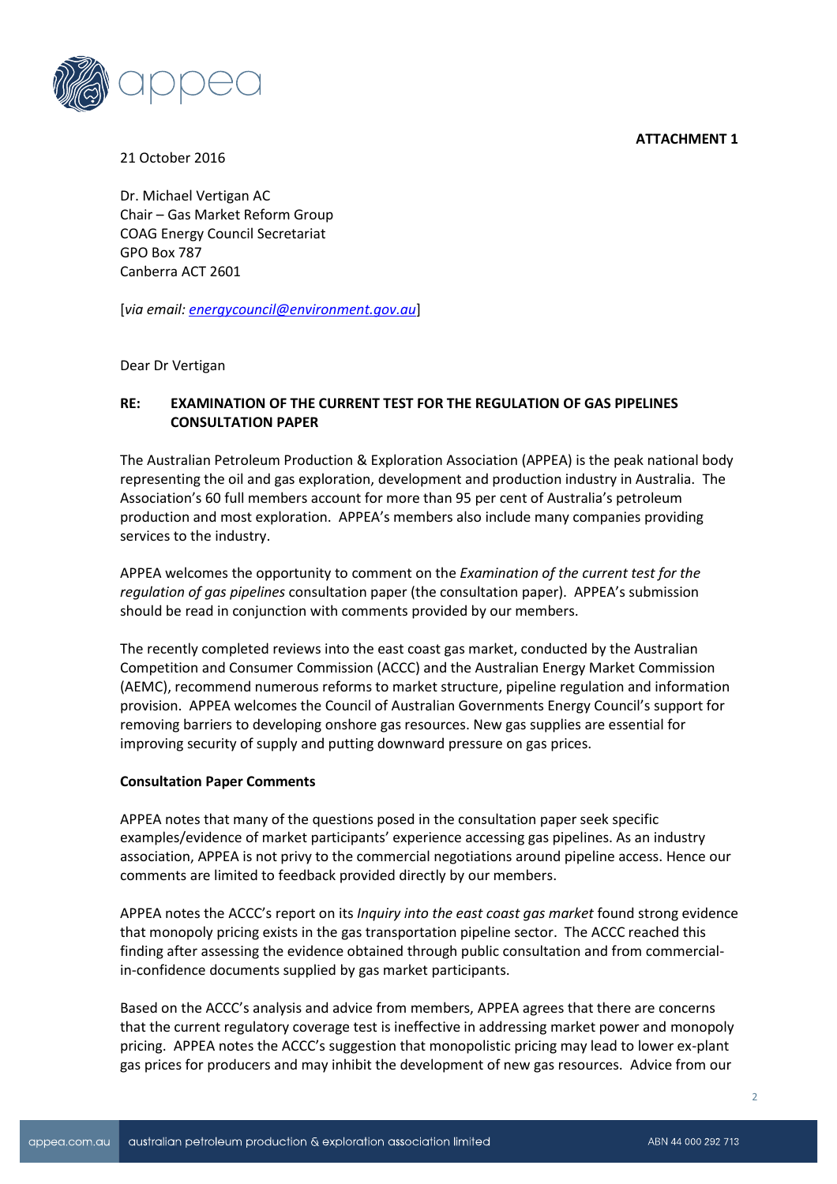**ATTACHMENT 1**



21 October 2016

Dr. Michael Vertigan AC Chair – Gas Market Reform Group COAG Energy Council Secretariat GPO Box 787 Canberra ACT 2601

[*via email: [energycouncil@environment.gov.au](mailto:energycouncil@environment.gov.au)*]

Dear Dr Vertigan

## **RE: EXAMINATION OF THE CURRENT TEST FOR THE REGULATION OF GAS PIPELINES CONSULTATION PAPER**

The Australian Petroleum Production & Exploration Association (APPEA) is the peak national body representing the oil and gas exploration, development and production industry in Australia. The Association's 60 full members account for more than 95 per cent of Australia's petroleum production and most exploration. APPEA's members also include many companies providing services to the industry.

APPEA welcomes the opportunity to comment on the *Examination of the current test for the regulation of gas pipelines* consultation paper (the consultation paper). APPEA's submission should be read in conjunction with comments provided by our members.

The recently completed reviews into the east coast gas market, conducted by the Australian Competition and Consumer Commission (ACCC) and the Australian Energy Market Commission (AEMC), recommend numerous reforms to market structure, pipeline regulation and information provision. APPEA welcomes the Council of Australian Governments Energy Council's support for removing barriers to developing onshore gas resources. New gas supplies are essential for improving security of supply and putting downward pressure on gas prices.

## **Consultation Paper Comments**

APPEA notes that many of the questions posed in the consultation paper seek specific examples/evidence of market participants' experience accessing gas pipelines. As an industry association, APPEA is not privy to the commercial negotiations around pipeline access. Hence our comments are limited to feedback provided directly by our members.

APPEA notes the ACCC's report on its *Inquiry into the east coast gas market* found strong evidence that monopoly pricing exists in the gas transportation pipeline sector. The ACCC reached this finding after assessing the evidence obtained through public consultation and from commercialin-confidence documents supplied by gas market participants.

Based on the ACCC's analysis and advice from members, APPEA agrees that there are concerns that the current regulatory coverage test is ineffective in addressing market power and monopoly pricing. APPEA notes the ACCC's suggestion that monopolistic pricing may lead to lower ex-plant gas prices for producers and may inhibit the development of new gas resources. Advice from our